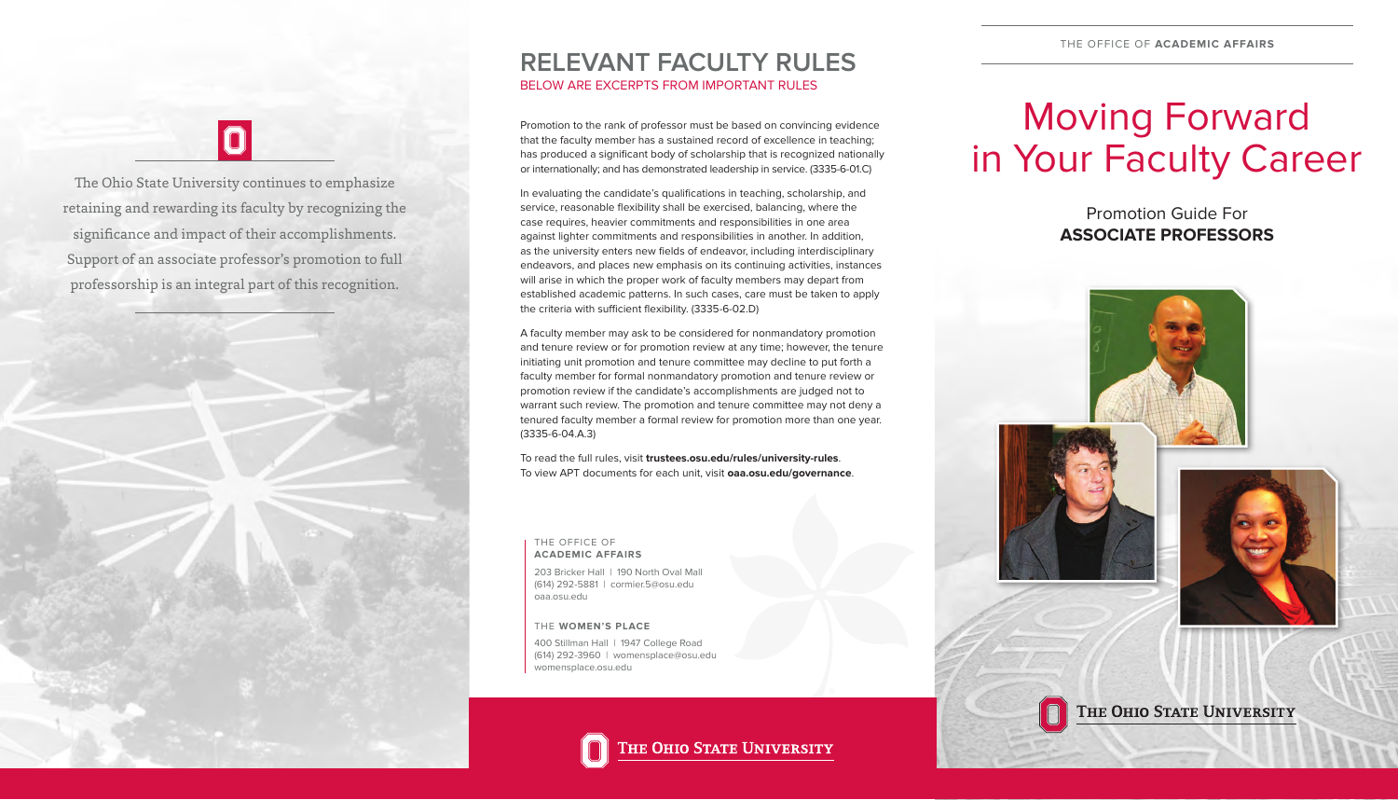# Moving Forward in Your Faculty Career

Promotion Guide For **ASSOCIATE PROFESSORS**









THE OHIO STATE UNIVERSITY

203 Bricker Hall | 190 North Oval Mall (614) 292-5881 | cormier.5@osu.edu oaa.osu.edu

#### THE OFFICE OF **ACADEMIC AFFAIRS**

400 Stillman Hall | 1947 College Road (614) 292-3960 | womensplace@osu.edu womensplace.osu.edu

THE OHIO STATE UNIVERSITY

# $\vert 0 \vert$

#### THE **WOMEN'S PLACE**

The Ohio State University continues to emphasize retaining and rewarding its faculty by recognizing the significance and impact of their accomplishments. Support of an associate professor's promotion to full professorship is an integral part of this recognition.



### **RELEVANT FACULTY RULES** BELOW ARE EXCERPTS FROM IMPORTANT RULES

Promotion to the rank of professor must be based on convincing evidence that the faculty member has a sustained record of excellence in teaching; has produced a significant body of scholarship that is recognized nationally or internationally; and has demonstrated leadership in service. (3335-6-01.C)

In evaluating the candidate's qualifications in teaching, scholarship, and service, reasonable flexibility shall be exercised, balancing, where the case requires, heavier commitments and responsibilities in one area against lighter commitments and responsibilities in another. In addition, as the university enters new fields of endeavor, including interdisciplinary endeavors, and places new emphasis on its continuing activities, instances will arise in which the proper work of faculty members may depart from established academic patterns. In such cases, care must be taken to apply the criteria with sufficient flexibility. (3335-6-02.D)

A faculty member may ask to be considered for nonmandatory promotion and tenure review or for promotion review at any time; however, the tenure initiating unit promotion and tenure committee may decline to put forth a faculty member for formal nonmandatory promotion and tenure review or promotion review if the candidate's accomplishments are judged not to warrant such review. The promotion and tenure committee may not deny a tenured faculty member a formal review for promotion more than one year. (3335-6-04.A.3)

To read the full rules, visit **trustees.osu.edu/rules/university-rules**. To view APT documents for each unit, visit **oaa.osu.edu/governance**.